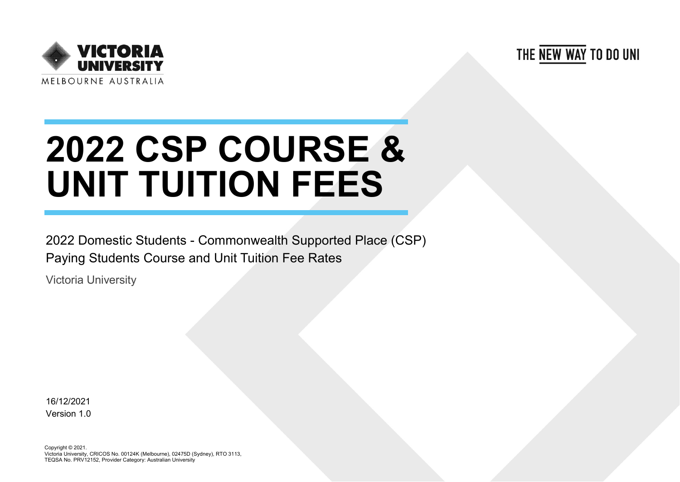THE NEW WAY TO DO UNI



## **2022 CSP COURSE & UNIT TUITION FEES**

2022 Domestic Students - Commonwealth Supported Place (CSP) Paying Students Course and Unit Tuition Fee Rates

Victoria University

16/12/2021 Version 1.0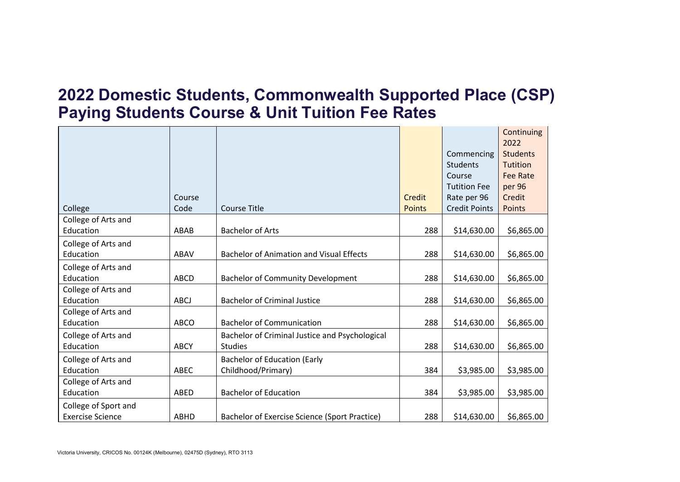## **2022 Domestic Students, Commonwealth Supported Place (CSP) Paying Students Course & Unit Tuition Fee Rates**

|                         |             |                                                 |               |                      | Continuing              |
|-------------------------|-------------|-------------------------------------------------|---------------|----------------------|-------------------------|
|                         |             |                                                 |               | Commencing           | 2022<br><b>Students</b> |
|                         |             |                                                 |               | <b>Students</b>      | <b>Tutition</b>         |
|                         |             |                                                 |               | Course               | <b>Fee Rate</b>         |
|                         |             |                                                 |               | <b>Tutition Fee</b>  | per 96                  |
|                         | Course      |                                                 | Credit        | Rate per 96          | Credit                  |
| College                 | Code        | <b>Course Title</b>                             | <b>Points</b> | <b>Credit Points</b> | Points                  |
| College of Arts and     |             |                                                 |               |                      |                         |
| Education               | ABAB        | <b>Bachelor of Arts</b>                         | 288           | \$14,630.00          | \$6,865.00              |
| College of Arts and     |             |                                                 |               |                      |                         |
| Education               | ABAV        | <b>Bachelor of Animation and Visual Effects</b> | 288           | \$14,630.00          | \$6,865.00              |
| College of Arts and     |             |                                                 |               |                      |                         |
| Education               | ABCD        | <b>Bachelor of Community Development</b>        | 288           | \$14,630.00          | \$6,865.00              |
| College of Arts and     |             |                                                 |               |                      |                         |
| Education               | ABCJ        | <b>Bachelor of Criminal Justice</b>             | 288           | \$14,630.00          | \$6,865.00              |
| College of Arts and     |             |                                                 |               |                      |                         |
| Education               | <b>ABCO</b> | <b>Bachelor of Communication</b>                | 288           | \$14,630.00          | \$6,865.00              |
| College of Arts and     |             | Bachelor of Criminal Justice and Psychological  |               |                      |                         |
| Education               | <b>ABCY</b> | <b>Studies</b>                                  | 288           | \$14,630.00          | \$6,865.00              |
| College of Arts and     |             | <b>Bachelor of Education (Early</b>             |               |                      |                         |
| Education               | <b>ABEC</b> | Childhood/Primary)                              | 384           | \$3,985.00           | \$3,985.00              |
| College of Arts and     |             |                                                 |               |                      |                         |
| Education               | ABED        | <b>Bachelor of Education</b>                    | 384           | \$3,985.00           | \$3,985.00              |
| College of Sport and    |             |                                                 |               |                      |                         |
| <b>Exercise Science</b> | ABHD        | Bachelor of Exercise Science (Sport Practice)   | 288           | \$14,630.00          | \$6,865.00              |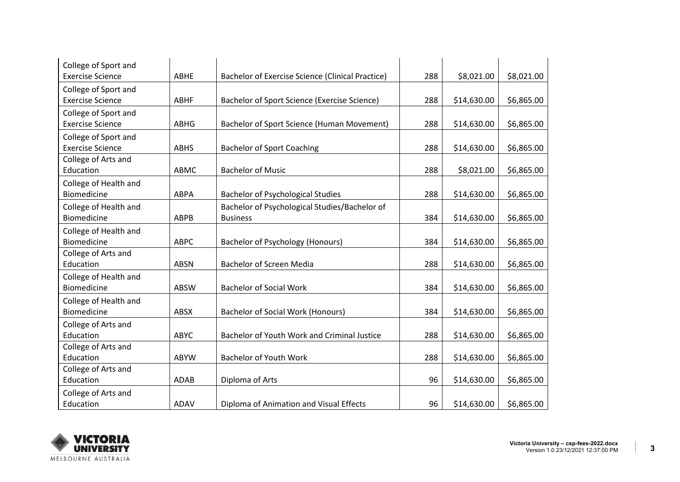| College of Sport and    |             |                                                         |     |             |            |
|-------------------------|-------------|---------------------------------------------------------|-----|-------------|------------|
| <b>Exercise Science</b> | ABHE        | <b>Bachelor of Exercise Science (Clinical Practice)</b> | 288 | \$8,021.00  | \$8,021.00 |
| College of Sport and    |             |                                                         |     |             |            |
| <b>Exercise Science</b> | <b>ABHF</b> | Bachelor of Sport Science (Exercise Science)            | 288 | \$14,630.00 | \$6,865.00 |
| College of Sport and    |             |                                                         |     |             |            |
| <b>Exercise Science</b> | <b>ABHG</b> | Bachelor of Sport Science (Human Movement)              | 288 | \$14,630.00 | \$6,865.00 |
| College of Sport and    |             |                                                         |     |             |            |
| <b>Exercise Science</b> | <b>ABHS</b> | <b>Bachelor of Sport Coaching</b>                       | 288 | \$14,630.00 | \$6,865.00 |
| College of Arts and     |             |                                                         |     |             |            |
| Education               | ABMC        | <b>Bachelor of Music</b>                                | 288 | \$8,021.00  | \$6,865.00 |
| College of Health and   |             |                                                         |     |             |            |
| Biomedicine             | <b>ABPA</b> | <b>Bachelor of Psychological Studies</b>                | 288 | \$14,630.00 | \$6,865.00 |
| College of Health and   |             | Bachelor of Psychological Studies/Bachelor of           |     |             |            |
| Biomedicine             | <b>ABPB</b> | <b>Business</b>                                         | 384 | \$14,630.00 | \$6,865.00 |
| College of Health and   |             |                                                         |     |             |            |
| <b>Biomedicine</b>      | <b>ABPC</b> | <b>Bachelor of Psychology (Honours)</b>                 | 384 | \$14,630.00 | \$6,865.00 |
| College of Arts and     |             |                                                         |     |             |            |
| Education               | <b>ABSN</b> | <b>Bachelor of Screen Media</b>                         | 288 | \$14,630.00 | \$6,865.00 |
| College of Health and   |             |                                                         |     |             |            |
| <b>Biomedicine</b>      | <b>ABSW</b> | <b>Bachelor of Social Work</b>                          | 384 | \$14,630.00 | \$6,865.00 |
| College of Health and   |             |                                                         |     |             |            |
| Biomedicine             | <b>ABSX</b> | <b>Bachelor of Social Work (Honours)</b>                | 384 | \$14,630.00 | \$6,865.00 |
| College of Arts and     |             |                                                         |     |             |            |
| Education               | ABYC        | Bachelor of Youth Work and Criminal Justice             | 288 | \$14,630.00 | \$6,865.00 |
| College of Arts and     |             |                                                         |     |             |            |
| Education               | <b>ABYW</b> | <b>Bachelor of Youth Work</b>                           | 288 | \$14,630.00 | \$6,865.00 |
| College of Arts and     |             |                                                         |     |             |            |
| Education               | <b>ADAB</b> | Diploma of Arts                                         | 96  | \$14,630.00 | \$6,865.00 |
| College of Arts and     |             |                                                         |     |             |            |
| Education               | ADAV        | Diploma of Animation and Visual Effects                 | 96  | \$14,630.00 | \$6,865.00 |

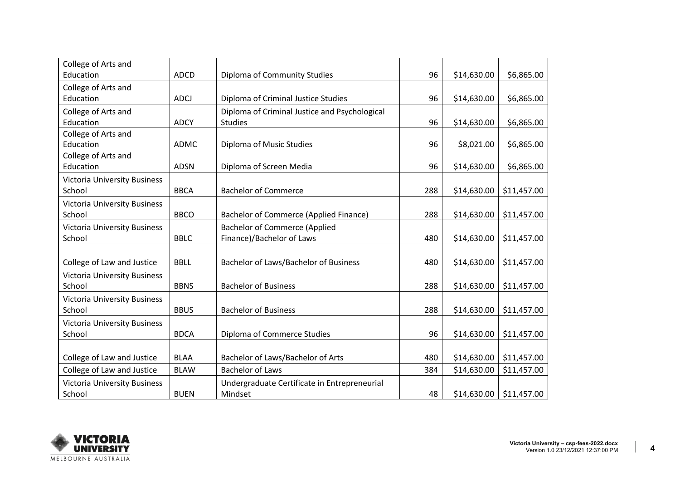| College of Arts and                 |             |                                               |     |             |             |
|-------------------------------------|-------------|-----------------------------------------------|-----|-------------|-------------|
| Education                           | <b>ADCD</b> | Diploma of Community Studies                  | 96  | \$14,630.00 | \$6,865.00  |
| College of Arts and                 |             |                                               |     |             |             |
| Education                           | <b>ADCJ</b> | Diploma of Criminal Justice Studies           | 96  | \$14,630.00 | \$6,865.00  |
| College of Arts and                 |             | Diploma of Criminal Justice and Psychological |     |             |             |
| Education                           | <b>ADCY</b> | <b>Studies</b>                                | 96  | \$14,630.00 | \$6,865.00  |
| College of Arts and                 |             |                                               |     |             |             |
| Education                           | <b>ADMC</b> | Diploma of Music Studies                      | 96  | \$8,021.00  | \$6,865.00  |
| College of Arts and                 |             |                                               |     |             |             |
| Education                           | <b>ADSN</b> | Diploma of Screen Media                       | 96  | \$14,630.00 | \$6,865.00  |
| <b>Victoria University Business</b> |             |                                               |     |             |             |
| School                              | <b>BBCA</b> | <b>Bachelor of Commerce</b>                   | 288 | \$14,630.00 | \$11,457.00 |
| <b>Victoria University Business</b> |             |                                               |     |             |             |
| School                              | <b>BBCO</b> | <b>Bachelor of Commerce (Applied Finance)</b> | 288 | \$14,630.00 | \$11,457.00 |
| <b>Victoria University Business</b> |             | <b>Bachelor of Commerce (Applied</b>          |     |             |             |
| School                              | <b>BBLC</b> | Finance)/Bachelor of Laws                     | 480 | \$14,630.00 | \$11,457.00 |
|                                     |             |                                               |     |             |             |
| College of Law and Justice          | <b>BBLL</b> | Bachelor of Laws/Bachelor of Business         | 480 | \$14,630.00 | \$11,457.00 |
| <b>Victoria University Business</b> |             |                                               |     |             |             |
| School                              | <b>BBNS</b> | <b>Bachelor of Business</b>                   | 288 | \$14,630.00 | \$11,457.00 |
| <b>Victoria University Business</b> |             |                                               |     |             |             |
| School                              | <b>BBUS</b> | <b>Bachelor of Business</b>                   | 288 | \$14,630.00 | \$11,457.00 |
| <b>Victoria University Business</b> |             |                                               |     |             |             |
| School                              | <b>BDCA</b> | Diploma of Commerce Studies                   | 96  | \$14,630.00 | \$11,457.00 |
|                                     |             |                                               |     |             |             |
| College of Law and Justice          | <b>BLAA</b> | Bachelor of Laws/Bachelor of Arts             | 480 | \$14,630.00 | \$11,457.00 |
| College of Law and Justice          | <b>BLAW</b> | <b>Bachelor of Laws</b>                       | 384 | \$14,630.00 | \$11,457.00 |
| <b>Victoria University Business</b> |             | Undergraduate Certificate in Entrepreneurial  |     |             |             |
| School                              | <b>BUEN</b> | Mindset                                       | 48  | \$14,630.00 | \$11,457.00 |

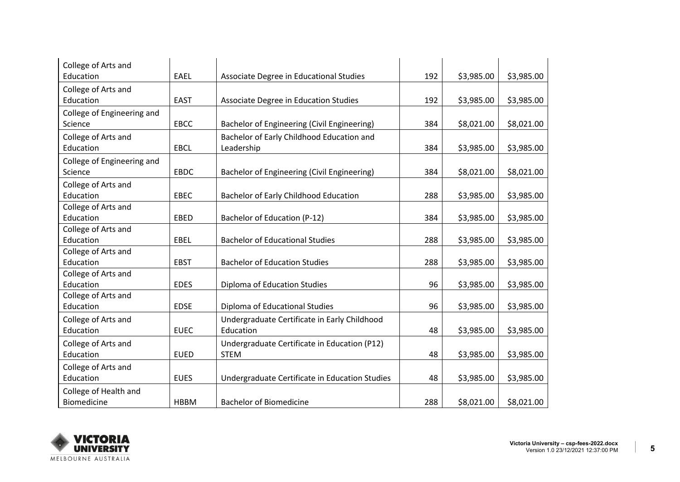| College of Arts and        |             |                                                |     |            |            |
|----------------------------|-------------|------------------------------------------------|-----|------------|------------|
| Education                  | <b>EAEL</b> | Associate Degree in Educational Studies        | 192 | \$3,985.00 | \$3,985.00 |
| College of Arts and        |             |                                                |     |            |            |
| Education                  | <b>EAST</b> | Associate Degree in Education Studies          | 192 | \$3,985.00 | \$3,985.00 |
| College of Engineering and |             |                                                |     |            |            |
| Science                    | EBCC        | Bachelor of Engineering (Civil Engineering)    | 384 | \$8,021.00 | \$8,021.00 |
| College of Arts and        |             | Bachelor of Early Childhood Education and      |     |            |            |
| Education                  | <b>EBCL</b> | Leadership                                     | 384 | \$3,985.00 | \$3,985.00 |
| College of Engineering and |             |                                                |     |            |            |
| Science                    | <b>EBDC</b> | Bachelor of Engineering (Civil Engineering)    | 384 | \$8,021.00 | \$8,021.00 |
| College of Arts and        |             |                                                |     |            |            |
| Education                  | <b>EBEC</b> | Bachelor of Early Childhood Education          | 288 | \$3,985.00 | \$3,985.00 |
| College of Arts and        |             |                                                |     |            |            |
| Education                  | <b>EBED</b> | Bachelor of Education (P-12)                   | 384 | \$3,985.00 | \$3,985.00 |
| College of Arts and        |             |                                                |     |            |            |
| Education                  | EBEL        | <b>Bachelor of Educational Studies</b>         | 288 | \$3,985.00 | \$3,985.00 |
| College of Arts and        |             |                                                |     |            |            |
| Education                  | <b>EBST</b> | <b>Bachelor of Education Studies</b>           | 288 | \$3,985.00 | \$3,985.00 |
| College of Arts and        |             |                                                |     |            |            |
| Education                  | <b>EDES</b> | Diploma of Education Studies                   | 96  | \$3,985.00 | \$3,985.00 |
| College of Arts and        |             |                                                |     |            |            |
| Education                  | <b>EDSE</b> | Diploma of Educational Studies                 | 96  | \$3,985.00 | \$3,985.00 |
| College of Arts and        |             | Undergraduate Certificate in Early Childhood   |     |            |            |
| Education                  | <b>EUEC</b> | Education                                      | 48  | \$3,985.00 | \$3,985.00 |
| College of Arts and        |             | Undergraduate Certificate in Education (P12)   |     |            |            |
| Education                  | <b>EUED</b> | <b>STEM</b>                                    | 48  | \$3,985.00 | \$3,985.00 |
| College of Arts and        |             |                                                |     |            |            |
| Education                  | <b>EUES</b> | Undergraduate Certificate in Education Studies | 48  | \$3,985.00 | \$3,985.00 |
| College of Health and      |             |                                                |     |            |            |
| Biomedicine                | <b>HBBM</b> | <b>Bachelor of Biomedicine</b>                 | 288 | \$8,021.00 | \$8,021.00 |

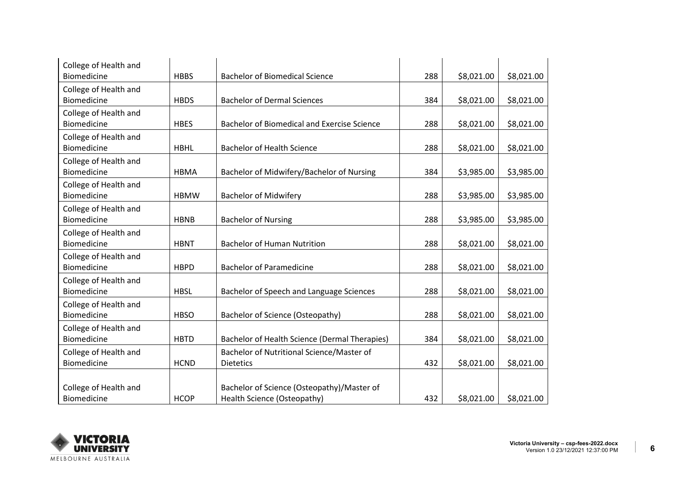| College of Health and |             |                                                      |     |            |            |
|-----------------------|-------------|------------------------------------------------------|-----|------------|------------|
| Biomedicine           | <b>HBBS</b> | <b>Bachelor of Biomedical Science</b>                | 288 | \$8,021.00 | \$8,021.00 |
| College of Health and |             |                                                      |     |            |            |
| Biomedicine           | <b>HBDS</b> | <b>Bachelor of Dermal Sciences</b>                   | 384 | \$8,021.00 | \$8,021.00 |
| College of Health and |             |                                                      |     |            |            |
| <b>Biomedicine</b>    | <b>HBES</b> | Bachelor of Biomedical and Exercise Science          | 288 | \$8,021.00 | \$8,021.00 |
| College of Health and |             |                                                      |     |            |            |
| Biomedicine           | <b>HBHL</b> | <b>Bachelor of Health Science</b>                    | 288 | \$8,021.00 | \$8,021.00 |
| College of Health and |             |                                                      |     |            |            |
| Biomedicine           | <b>HBMA</b> | Bachelor of Midwifery/Bachelor of Nursing            | 384 | \$3,985.00 | \$3,985.00 |
| College of Health and |             |                                                      |     |            |            |
| Biomedicine           | <b>HBMW</b> | <b>Bachelor of Midwifery</b>                         | 288 | \$3,985.00 | \$3,985.00 |
| College of Health and |             |                                                      |     |            |            |
| Biomedicine           | <b>HBNB</b> | <b>Bachelor of Nursing</b>                           | 288 | \$3,985.00 | \$3,985.00 |
| College of Health and |             |                                                      |     |            |            |
| Biomedicine           | <b>HBNT</b> | <b>Bachelor of Human Nutrition</b>                   | 288 | \$8,021.00 | \$8,021.00 |
| College of Health and |             |                                                      |     |            |            |
| Biomedicine           | <b>HBPD</b> | <b>Bachelor of Paramedicine</b>                      | 288 | \$8,021.00 | \$8,021.00 |
| College of Health and |             |                                                      |     |            |            |
| Biomedicine           | <b>HBSL</b> | Bachelor of Speech and Language Sciences             | 288 | \$8,021.00 | \$8,021.00 |
| College of Health and |             |                                                      |     |            |            |
| Biomedicine           | <b>HBSO</b> | <b>Bachelor of Science (Osteopathy)</b>              | 288 | \$8,021.00 | \$8,021.00 |
| College of Health and |             |                                                      |     |            |            |
| <b>Biomedicine</b>    | <b>HBTD</b> | <b>Bachelor of Health Science (Dermal Therapies)</b> | 384 | \$8,021.00 | \$8,021.00 |
| College of Health and |             | Bachelor of Nutritional Science/Master of            |     |            |            |
| Biomedicine           | <b>HCND</b> | <b>Dietetics</b>                                     | 432 | \$8,021.00 | \$8,021.00 |
|                       |             |                                                      |     |            |            |
| College of Health and |             | Bachelor of Science (Osteopathy)/Master of           |     |            |            |
| Biomedicine           | <b>HCOP</b> | Health Science (Osteopathy)                          | 432 | \$8,021.00 | \$8,021.00 |

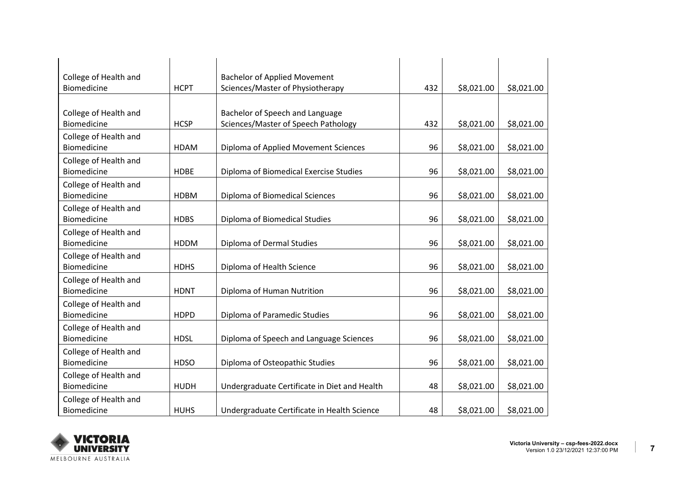| College of Health and |             | <b>Bachelor of Applied Movement</b>          |     |            |            |
|-----------------------|-------------|----------------------------------------------|-----|------------|------------|
| Biomedicine           | <b>HCPT</b> | Sciences/Master of Physiotherapy             | 432 | \$8,021.00 | \$8,021.00 |
|                       |             |                                              |     |            |            |
| College of Health and |             | Bachelor of Speech and Language              |     |            |            |
| Biomedicine           | <b>HCSP</b> | Sciences/Master of Speech Pathology          | 432 | \$8,021.00 | \$8,021.00 |
| College of Health and |             |                                              |     |            |            |
| Biomedicine           | <b>HDAM</b> | Diploma of Applied Movement Sciences         | 96  | \$8,021.00 | \$8,021.00 |
| College of Health and |             |                                              |     |            |            |
| Biomedicine           | <b>HDBE</b> | Diploma of Biomedical Exercise Studies       | 96  | \$8,021.00 | \$8,021.00 |
| College of Health and |             |                                              |     |            |            |
| Biomedicine           | <b>HDBM</b> | Diploma of Biomedical Sciences               | 96  | \$8,021.00 | \$8,021.00 |
| College of Health and |             |                                              |     |            |            |
| Biomedicine           | <b>HDBS</b> | Diploma of Biomedical Studies                | 96  | \$8,021.00 | \$8,021.00 |
| College of Health and |             |                                              |     |            |            |
| Biomedicine           | <b>HDDM</b> | Diploma of Dermal Studies                    | 96  | \$8,021.00 | \$8,021.00 |
| College of Health and |             |                                              |     |            |            |
| Biomedicine           | <b>HDHS</b> | Diploma of Health Science                    | 96  | \$8,021.00 | \$8,021.00 |
| College of Health and |             |                                              |     |            |            |
| Biomedicine           | <b>HDNT</b> | Diploma of Human Nutrition                   | 96  | \$8,021.00 | \$8,021.00 |
| College of Health and |             |                                              |     |            |            |
| Biomedicine           | <b>HDPD</b> | Diploma of Paramedic Studies                 | 96  | \$8,021.00 | \$8,021.00 |
| College of Health and |             |                                              |     |            |            |
| Biomedicine           | <b>HDSL</b> | Diploma of Speech and Language Sciences      | 96  | \$8,021.00 | \$8,021.00 |
| College of Health and |             |                                              |     |            |            |
| Biomedicine           | <b>HDSO</b> | Diploma of Osteopathic Studies               | 96  | \$8,021.00 | \$8,021.00 |
| College of Health and |             |                                              |     |            |            |
| Biomedicine           | <b>HUDH</b> | Undergraduate Certificate in Diet and Health | 48  | \$8,021.00 | \$8,021.00 |
| College of Health and |             |                                              |     |            |            |
| Biomedicine           | <b>HUHS</b> | Undergraduate Certificate in Health Science  | 48  | \$8,021.00 | \$8,021.00 |

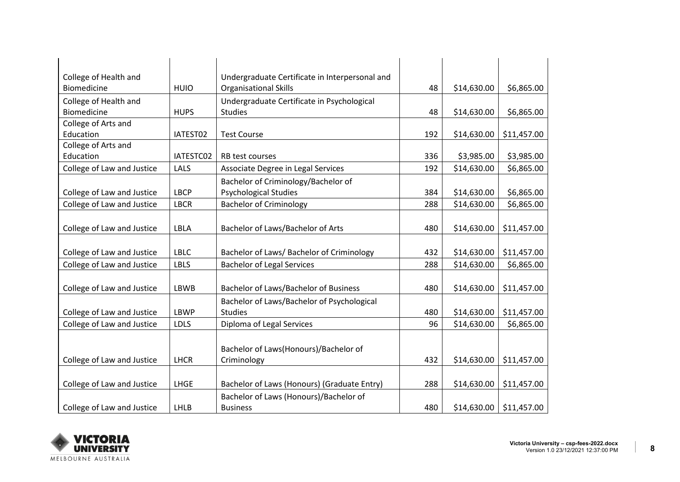| College of Health and      |             | Undergraduate Certificate in Interpersonal and |     |             |             |
|----------------------------|-------------|------------------------------------------------|-----|-------------|-------------|
| Biomedicine                | <b>HUIO</b> | <b>Organisational Skills</b>                   | 48  | \$14,630.00 | \$6,865.00  |
| College of Health and      |             | Undergraduate Certificate in Psychological     |     |             |             |
| Biomedicine                | <b>HUPS</b> | <b>Studies</b>                                 | 48  | \$14,630.00 | \$6,865.00  |
| College of Arts and        |             |                                                |     |             |             |
| Education                  | IATEST02    | <b>Test Course</b>                             | 192 | \$14,630.00 | \$11,457.00 |
| College of Arts and        |             |                                                |     |             |             |
| Education                  | IATESTC02   | RB test courses                                | 336 | \$3,985.00  | \$3,985.00  |
| College of Law and Justice | <b>LALS</b> | Associate Degree in Legal Services             | 192 | \$14,630.00 | \$6,865.00  |
|                            |             | Bachelor of Criminology/Bachelor of            |     |             |             |
| College of Law and Justice | <b>LBCP</b> | <b>Psychological Studies</b>                   | 384 | \$14,630.00 | \$6,865.00  |
| College of Law and Justice | <b>LBCR</b> | <b>Bachelor of Criminology</b>                 | 288 | \$14,630.00 | \$6,865.00  |
|                            |             |                                                |     |             |             |
| College of Law and Justice | <b>LBLA</b> | Bachelor of Laws/Bachelor of Arts              | 480 | \$14,630.00 | \$11,457.00 |
|                            |             |                                                |     |             |             |
| College of Law and Justice | <b>LBLC</b> | Bachelor of Laws/ Bachelor of Criminology      | 432 | \$14,630.00 | \$11,457.00 |
| College of Law and Justice | <b>LBLS</b> | <b>Bachelor of Legal Services</b>              | 288 | \$14,630.00 | \$6,865.00  |
|                            |             |                                                |     |             |             |
| College of Law and Justice | LBWB        | Bachelor of Laws/Bachelor of Business          | 480 | \$14,630.00 | \$11,457.00 |
|                            |             | Bachelor of Laws/Bachelor of Psychological     |     |             |             |
| College of Law and Justice | <b>LBWP</b> | <b>Studies</b>                                 | 480 | \$14,630.00 | \$11,457.00 |
| College of Law and Justice | <b>LDLS</b> | Diploma of Legal Services                      | 96  | \$14,630.00 | \$6,865.00  |
|                            |             |                                                |     |             |             |
|                            |             | Bachelor of Laws(Honours)/Bachelor of          |     |             |             |
| College of Law and Justice | <b>LHCR</b> | Criminology                                    | 432 | \$14,630.00 | \$11,457.00 |
|                            |             |                                                |     |             |             |
| College of Law and Justice | LHGE        | Bachelor of Laws (Honours) (Graduate Entry)    | 288 | \$14,630.00 | \$11,457.00 |
|                            |             | Bachelor of Laws (Honours)/Bachelor of         |     |             |             |
| College of Law and Justice | LHLB        | <b>Business</b>                                | 480 | \$14,630.00 | \$11,457.00 |

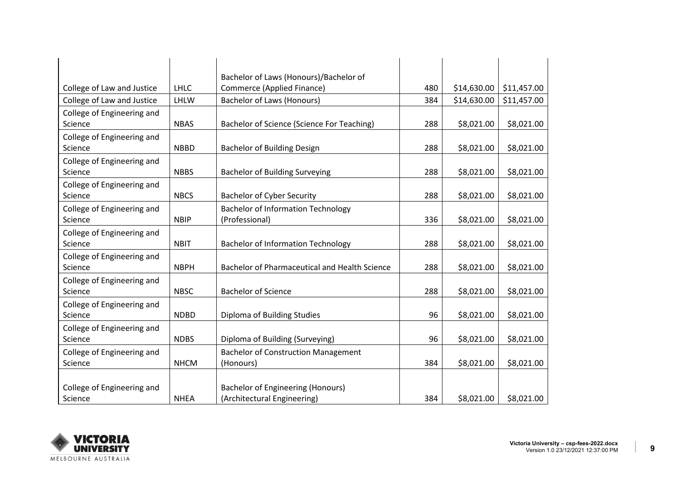|                            |             | Bachelor of Laws (Honours)/Bachelor of               |     |             |             |
|----------------------------|-------------|------------------------------------------------------|-----|-------------|-------------|
| College of Law and Justice | <b>LHLC</b> | Commerce (Applied Finance)                           | 480 | \$14,630.00 | \$11,457.00 |
| College of Law and Justice | LHLW        | <b>Bachelor of Laws (Honours)</b>                    | 384 | \$14,630.00 | \$11,457.00 |
| College of Engineering and |             |                                                      |     |             |             |
| Science                    | <b>NBAS</b> | Bachelor of Science (Science For Teaching)           | 288 | \$8,021.00  | \$8,021.00  |
| College of Engineering and |             |                                                      |     |             |             |
| Science                    | <b>NBBD</b> | <b>Bachelor of Building Design</b>                   | 288 | \$8,021.00  | \$8,021.00  |
| College of Engineering and |             |                                                      |     |             |             |
| Science                    | <b>NBBS</b> | <b>Bachelor of Building Surveying</b>                | 288 | \$8,021.00  | \$8,021.00  |
| College of Engineering and |             |                                                      |     |             |             |
| Science                    | <b>NBCS</b> | <b>Bachelor of Cyber Security</b>                    | 288 | \$8,021.00  | \$8,021.00  |
| College of Engineering and |             | <b>Bachelor of Information Technology</b>            |     |             |             |
| Science                    | <b>NBIP</b> | (Professional)                                       | 336 | \$8,021.00  | \$8,021.00  |
| College of Engineering and |             |                                                      |     |             |             |
| Science                    | <b>NBIT</b> | <b>Bachelor of Information Technology</b>            | 288 | \$8,021.00  | \$8,021.00  |
| College of Engineering and |             |                                                      |     |             |             |
| Science                    | <b>NBPH</b> | <b>Bachelor of Pharmaceutical and Health Science</b> | 288 | \$8,021.00  | \$8,021.00  |
| College of Engineering and |             |                                                      |     |             |             |
| Science                    | <b>NBSC</b> | <b>Bachelor of Science</b>                           | 288 | \$8,021.00  | \$8,021.00  |
| College of Engineering and |             |                                                      |     |             |             |
| Science                    | <b>NDBD</b> | Diploma of Building Studies                          | 96  | \$8,021.00  | \$8,021.00  |
| College of Engineering and |             |                                                      |     |             |             |
| Science                    | <b>NDBS</b> | Diploma of Building (Surveying)                      | 96  | \$8,021.00  | \$8,021.00  |
| College of Engineering and |             | <b>Bachelor of Construction Management</b>           |     |             |             |
| Science                    | <b>NHCM</b> | (Honours)                                            | 384 | \$8,021.00  | \$8,021.00  |
|                            |             |                                                      |     |             |             |
| College of Engineering and |             | <b>Bachelor of Engineering (Honours)</b>             |     |             |             |
| Science                    | <b>NHEA</b> | (Architectural Engineering)                          | 384 | \$8,021.00  | \$8,021.00  |

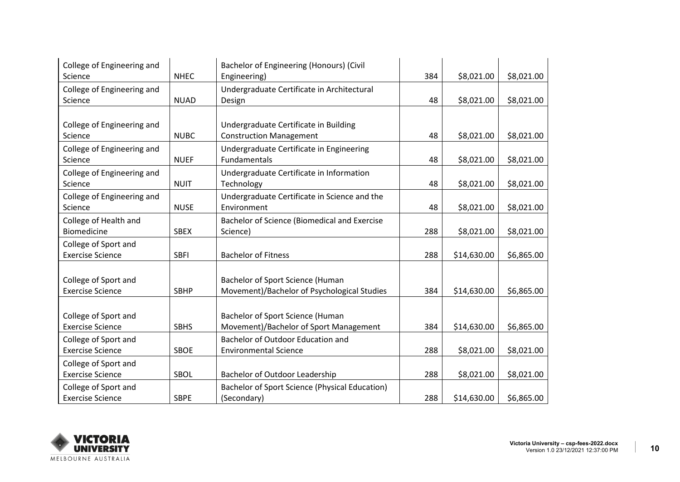| College of Engineering and                      |             | Bachelor of Engineering (Honours) (Civil       |     |             |            |
|-------------------------------------------------|-------------|------------------------------------------------|-----|-------------|------------|
| Science                                         | <b>NHEC</b> | Engineering)                                   | 384 | \$8,021.00  | \$8,021.00 |
| College of Engineering and                      |             | Undergraduate Certificate in Architectural     |     |             |            |
| Science                                         | <b>NUAD</b> | Design                                         | 48  | \$8,021.00  | \$8,021.00 |
|                                                 |             |                                                |     |             |            |
| College of Engineering and                      |             | Undergraduate Certificate in Building          |     |             |            |
| Science                                         | <b>NUBC</b> | <b>Construction Management</b>                 | 48  | \$8,021.00  | \$8,021.00 |
| College of Engineering and                      |             | Undergraduate Certificate in Engineering       |     |             |            |
| Science                                         | <b>NUEF</b> | Fundamentals                                   | 48  | \$8,021.00  | \$8,021.00 |
| College of Engineering and                      |             | Undergraduate Certificate in Information       |     |             |            |
| Science                                         | <b>NUIT</b> | Technology                                     | 48  | \$8,021.00  | \$8,021.00 |
| College of Engineering and                      |             | Undergraduate Certificate in Science and the   |     |             |            |
| Science                                         | <b>NUSE</b> | Environment                                    | 48  | \$8,021.00  | \$8,021.00 |
| College of Health and                           |             | Bachelor of Science (Biomedical and Exercise   |     |             |            |
| Biomedicine                                     | <b>SBEX</b> | Science)                                       | 288 | \$8,021.00  | \$8,021.00 |
| College of Sport and                            |             |                                                |     |             |            |
| <b>Exercise Science</b>                         | <b>SBFI</b> | <b>Bachelor of Fitness</b>                     | 288 | \$14,630.00 | \$6,865.00 |
|                                                 |             |                                                |     |             |            |
| College of Sport and                            |             | Bachelor of Sport Science (Human               |     |             |            |
| <b>Exercise Science</b>                         | <b>SBHP</b> | Movement)/Bachelor of Psychological Studies    | 384 | \$14,630.00 | \$6,865.00 |
|                                                 |             |                                                |     |             |            |
|                                                 |             | Bachelor of Sport Science (Human               |     |             |            |
| College of Sport and<br><b>Exercise Science</b> | <b>SBHS</b> | Movement)/Bachelor of Sport Management         | 384 | \$14,630.00 | \$6,865.00 |
|                                                 |             |                                                |     |             |            |
| College of Sport and                            |             | Bachelor of Outdoor Education and              |     |             |            |
| <b>Exercise Science</b>                         | <b>SBOE</b> | <b>Environmental Science</b>                   | 288 | \$8,021.00  | \$8,021.00 |
| College of Sport and                            |             |                                                |     |             |            |
| <b>Exercise Science</b>                         | SBOL        | Bachelor of Outdoor Leadership                 | 288 | \$8,021.00  | \$8,021.00 |
| College of Sport and                            |             | Bachelor of Sport Science (Physical Education) |     |             |            |
| <b>Exercise Science</b>                         | <b>SBPE</b> | (Secondary)                                    | 288 | \$14,630.00 | \$6,865.00 |

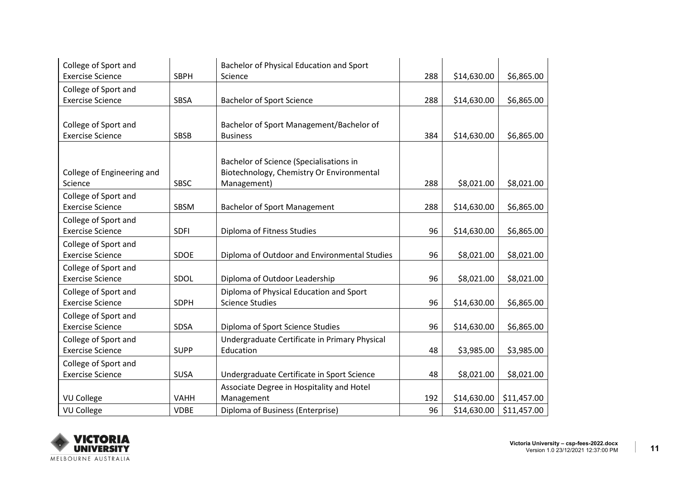| College of Sport and       |             | Bachelor of Physical Education and Sport      |     |             |             |
|----------------------------|-------------|-----------------------------------------------|-----|-------------|-------------|
| <b>Exercise Science</b>    | <b>SBPH</b> | Science                                       | 288 | \$14,630.00 | \$6,865.00  |
| College of Sport and       |             |                                               |     |             |             |
| <b>Exercise Science</b>    | <b>SBSA</b> | <b>Bachelor of Sport Science</b>              | 288 | \$14,630.00 | \$6,865.00  |
|                            |             |                                               |     |             |             |
| College of Sport and       |             | Bachelor of Sport Management/Bachelor of      |     |             |             |
| <b>Exercise Science</b>    | <b>SBSB</b> | <b>Business</b>                               | 384 | \$14,630.00 | \$6,865.00  |
|                            |             |                                               |     |             |             |
|                            |             | Bachelor of Science (Specialisations in       |     |             |             |
| College of Engineering and |             | Biotechnology, Chemistry Or Environmental     |     |             |             |
| Science                    | SBSC        | Management)                                   | 288 | \$8,021.00  | \$8,021.00  |
| College of Sport and       |             |                                               |     |             |             |
| <b>Exercise Science</b>    | SBSM        | <b>Bachelor of Sport Management</b>           | 288 | \$14,630.00 | \$6,865.00  |
| College of Sport and       |             |                                               |     |             |             |
| <b>Exercise Science</b>    | <b>SDFI</b> | Diploma of Fitness Studies                    | 96  | \$14,630.00 | \$6,865.00  |
| College of Sport and       |             |                                               |     |             |             |
| <b>Exercise Science</b>    | <b>SDOE</b> | Diploma of Outdoor and Environmental Studies  | 96  | \$8,021.00  | \$8,021.00  |
| College of Sport and       |             |                                               |     |             |             |
| <b>Exercise Science</b>    | SDOL        | Diploma of Outdoor Leadership                 | 96  | \$8,021.00  | \$8,021.00  |
| College of Sport and       |             | Diploma of Physical Education and Sport       |     |             |             |
| <b>Exercise Science</b>    | <b>SDPH</b> | <b>Science Studies</b>                        | 96  | \$14,630.00 | \$6,865.00  |
| College of Sport and       |             |                                               |     |             |             |
| <b>Exercise Science</b>    | <b>SDSA</b> | Diploma of Sport Science Studies              | 96  | \$14,630.00 | \$6,865.00  |
| College of Sport and       |             | Undergraduate Certificate in Primary Physical |     |             |             |
| <b>Exercise Science</b>    | <b>SUPP</b> | Education                                     | 48  | \$3,985.00  | \$3,985.00  |
| College of Sport and       |             |                                               |     |             |             |
| <b>Exercise Science</b>    | <b>SUSA</b> | Undergraduate Certificate in Sport Science    | 48  | \$8,021.00  | \$8,021.00  |
|                            |             | Associate Degree in Hospitality and Hotel     |     |             |             |
| <b>VU College</b>          | <b>VAHH</b> | Management                                    | 192 | \$14,630.00 | \$11,457.00 |
| <b>VU College</b>          | <b>VDBE</b> | Diploma of Business (Enterprise)              | 96  | \$14,630.00 | \$11,457.00 |